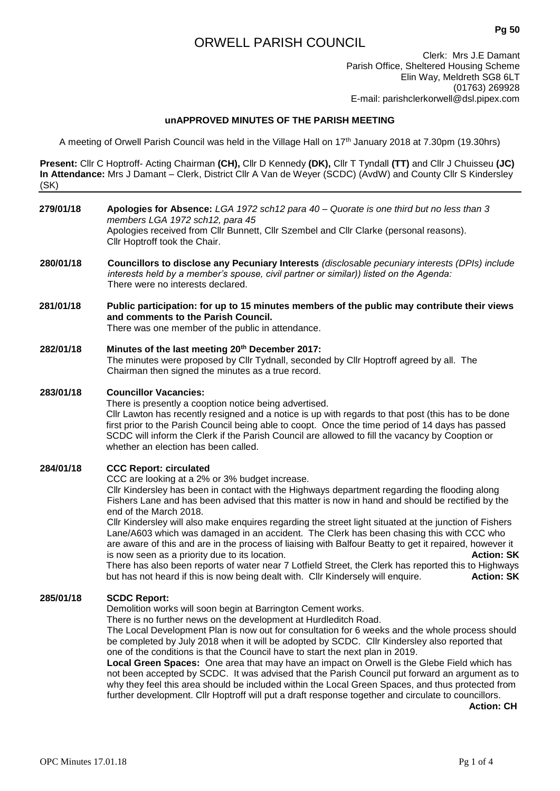# ORWELL PARISH COUNCIL

Clerk: Mrs J.E Damant Parish Office, Sheltered Housing Scheme Elin Way, Meldreth SG8 6LT (01763) 269928 E-mail: parishclerkorwell@dsl.pipex.com

# **unAPPROVED MINUTES OF THE PARISH MEETING**

A meeting of Orwell Parish Council was held in the Village Hall on 17th January 2018 at 7.30pm (19.30hrs)

**Present:** Cllr C Hoptroff- Acting Chairman **(CH),** Cllr D Kennedy **(DK),** Cllr T Tyndall **(TT)** and Cllr J Chuisseu **(JC) In Attendance:** Mrs J Damant – Clerk, District Cllr A Van de Weyer (SCDC) (AvdW) and County Cllr S Kindersley (SK)

- **279/01/18 Apologies for Absence:** *LGA 1972 sch12 para 40 – Quorate is one third but no less than 3 members LGA 1972 sch12, para 45* Apologies received from Cllr Bunnett, Cllr Szembel and Cllr Clarke (personal reasons). Cllr Hoptroff took the Chair.
- **280/01/18 Councillors to disclose any Pecuniary Interests** *(disclosable pecuniary interests (DPIs) include interests held by a member's spouse, civil partner or similar)) listed on the Agenda:* There were no interests declared.
- **281/01/18 Public participation: for up to 15 minutes members of the public may contribute their views and comments to the Parish Council.** There was one member of the public in attendance.

# **282/01/18 Minutes of the last meeting 20th December 2017:**

The minutes were proposed by Cllr Tydnall, seconded by Cllr Hoptroff agreed by all. The Chairman then signed the minutes as a true record.

# **283/01/18 Councillor Vacancies:**

There is presently a cooption notice being advertised. Cllr Lawton has recently resigned and a notice is up with regards to that post (this has to be done first prior to the Parish Council being able to coopt. Once the time period of 14 days has passed SCDC will inform the Clerk if the Parish Council are allowed to fill the vacancy by Cooption or whether an election has been called.

# **284/01/18 CCC Report: circulated**

CCC are looking at a 2% or 3% budget increase.

Cllr Kindersley has been in contact with the Highways department regarding the flooding along Fishers Lane and has been advised that this matter is now in hand and should be rectified by the end of the March 2018.

Cllr Kindersley will also make enquires regarding the street light situated at the junction of Fishers Lane/A603 which was damaged in an accident. The Clerk has been chasing this with CCC who are aware of this and are in the process of liaising with Balfour Beatty to get it repaired, however it is now seen as a priority due to its location. **Action: SK** There has also been reports of water near 7 Lotfield Street, the Clerk has reported this to Highways

but has not heard if this is now being dealt with. Cllr Kindersely will enquire. **Action: SK**

# **285/01/18 SCDC Report:**

Demolition works will soon begin at Barrington Cement works.

There is no further news on the development at Hurdleditch Road.

The Local Development Plan is now out for consultation for 6 weeks and the whole process should be completed by July 2018 when it will be adopted by SCDC. Cllr Kindersley also reported that one of the conditions is that the Council have to start the next plan in 2019.

**Local Green Spaces:** One area that may have an impact on Orwell is the Glebe Field which has not been accepted by SCDC. It was advised that the Parish Council put forward an argument as to why they feel this area should be included within the Local Green Spaces, and thus protected from further development. Cllr Hoptroff will put a draft response together and circulate to councillors.

**Action: CH**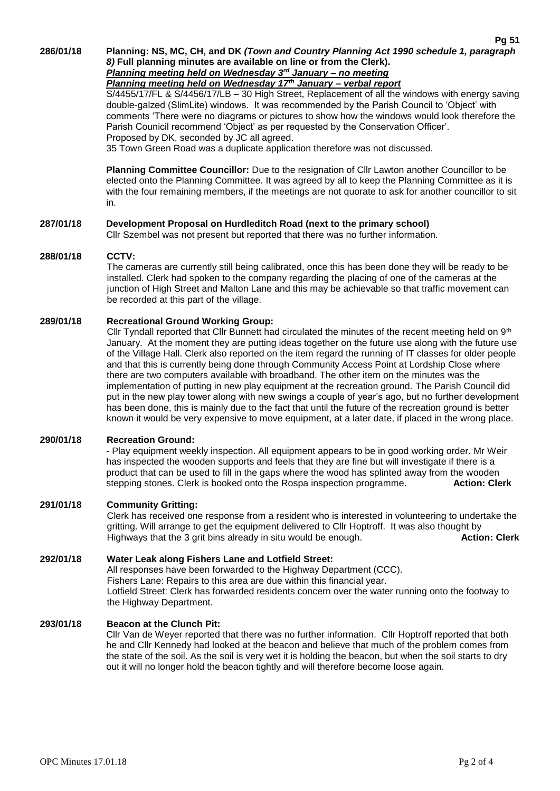**286/01/18 Planning: NS, MC, CH, and DK** *(Town and Country Planning Act 1990 schedule 1, paragraph* 

*8)* **Full planning minutes are available on line or from the Clerk).**  *Planning meeting held on Wednesday 3rd January – no meeting*

*Planning meeting held on Wednesday 17th January – verbal report*

S/4455/17/FL & S/4456/17/LB – 30 High Street, Replacement of all the windows with energy saving double-galzed (SlimLite) windows. It was recommended by the Parish Council to 'Object' with comments 'There were no diagrams or pictures to show how the windows would look therefore the Parish Counicil recommend 'Object' as per requested by the Conservation Officer'. Proposed by DK, seconded by JC all agreed.

35 Town Green Road was a duplicate application therefore was not discussed.

**Planning Committee Councillor:** Due to the resignation of Cllr Lawton another Councillor to be elected onto the Planning Committee*.* It was agreed by all to keep the Planning Committee as it is with the four remaining members, if the meetings are not quorate to ask for another councillor to sit in.

# **287/01/18 Development Proposal on Hurdleditch Road (next to the primary school)**

Cllr Szembel was not present but reported that there was no further information.

### **288/01/18 CCTV:**

The cameras are currently still being calibrated, once this has been done they will be ready to be installed. Clerk had spoken to the company regarding the placing of one of the cameras at the junction of High Street and Malton Lane and this may be achievable so that traffic movement can be recorded at this part of the village.

# **289/01/18 Recreational Ground Working Group:**

Cllr Tyndall reported that Cllr Bunnett had circulated the minutes of the recent meeting held on 9<sup>th</sup> January. At the moment they are putting ideas together on the future use along with the future use of the Village Hall. Clerk also reported on the item regard the running of IT classes for older people and that this is currently being done through Community Access Point at Lordship Close where there are two computers available with broadband. The other item on the minutes was the implementation of putting in new play equipment at the recreation ground. The Parish Council did put in the new play tower along with new swings a couple of year's ago, but no further development has been done, this is mainly due to the fact that until the future of the recreation ground is better known it would be very expensive to move equipment, at a later date, if placed in the wrong place.

# **290/01/18 Recreation Ground:**

- Play equipment weekly inspection. All equipment appears to be in good working order. Mr Weir has inspected the wooden supports and feels that they are fine but will investigate if there is a product that can be used to fill in the gaps where the wood has splinted away from the wooden stepping stones. Clerk is booked onto the Rospa inspection programme. **Action: Clerk**

# **291/01/18 Community Gritting:**

Clerk has received one response from a resident who is interested in volunteering to undertake the gritting. Will arrange to get the equipment delivered to Cllr Hoptroff. It was also thought by Highways that the 3 grit bins already in situ would be enough. **Action: Clerk**

# **292/01/18 Water Leak along Fishers Lane and Lotfield Street:** All responses have been forwarded to the Highway Department (CCC). Fishers Lane: Repairs to this area are due within this financial year. Lotfield Street: Clerk has forwarded residents concern over the water running onto the footway to the Highway Department.

# **293/01/18 Beacon at the Clunch Pit:**

Cllr Van de Weyer reported that there was no further information. Cllr Hoptroff reported that both he and Cllr Kennedy had looked at the beacon and believe that much of the problem comes from the state of the soil. As the soil is very wet it is holding the beacon, but when the soil starts to dry out it will no longer hold the beacon tightly and will therefore become loose again.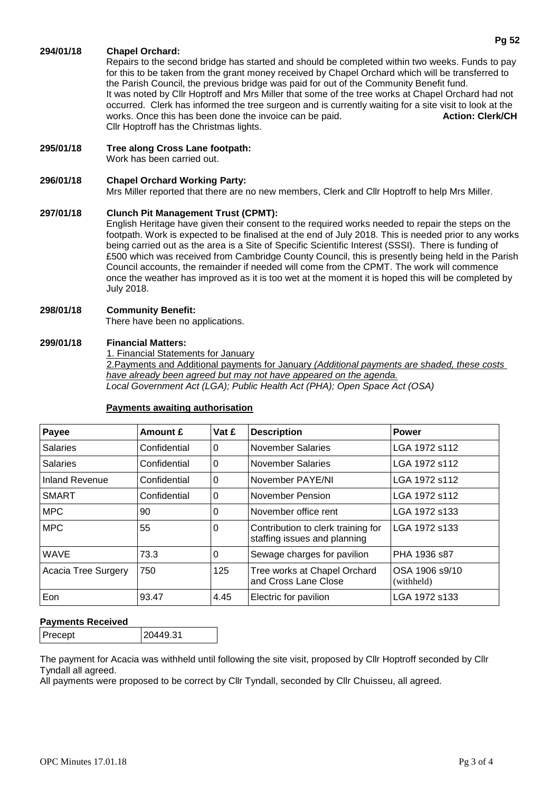# **294/01/18 Chapel Orchard:**

Repairs to the second bridge has started and should be completed within two weeks. Funds to pay for this to be taken from the grant money received by Chapel Orchard which will be transferred to the Parish Council, the previous bridge was paid for out of the Community Benefit fund. It was noted by Cllr Hoptroff and Mrs Miller that some of the tree works at Chapel Orchard had not occurred. Clerk has informed the tree surgeon and is currently waiting for a site visit to look at the works. Once this has been done the invoice can be paid. **Action: Clerk/CH** Cllr Hoptroff has the Christmas lights.

**295/01/18 Tree along Cross Lane footpath:** Work has been carried out.

# **296/01/18 Chapel Orchard Working Party:**

Mrs Miller reported that there are no new members, Clerk and Cllr Hoptroff to help Mrs Miller.

#### **297/01/18 Clunch Pit Management Trust (CPMT):**

English Heritage have given their consent to the required works needed to repair the steps on the footpath. Work is expected to be finalised at the end of July 2018. This is needed prior to any works being carried out as the area is a Site of Specific Scientific Interest (SSSI). There is funding of £500 which was received from Cambridge County Council, this is presently being held in the Parish Council accounts, the remainder if needed will come from the CPMT. The work will commence once the weather has improved as it is too wet at the moment it is hoped this will be completed by July 2018.

### **298/01/18 Community Benefit:**

There have been no applications.

### **299/01/18 Financial Matters:**

1. Financial Statements for January

2.Payments and Additional payments for January *(Additional payments are shaded, these costs have already been agreed but may not have appeared on the agenda. Local Government Act (LGA); Public Health Act (PHA); Open Space Act (OSA)*

| Payee               | Amount £     | Vat £    | <b>Description</b>                                                 | <b>Power</b>                 |
|---------------------|--------------|----------|--------------------------------------------------------------------|------------------------------|
| <b>Salaries</b>     | Confidential | 0        | November Salaries                                                  | LGA 1972 s112                |
| <b>Salaries</b>     | Confidential | 0        | November Salaries                                                  | LGA 1972 s112                |
| Inland Revenue      | Confidential | $\Omega$ | November PAYE/NI                                                   | LGA 1972 s112                |
| <b>SMART</b>        | Confidential | 0        | November Pension                                                   | LGA 1972 s112                |
| <b>MPC</b>          | 90           | 0        | November office rent                                               | LGA 1972 s133                |
| <b>MPC</b>          | 55           | 0        | Contribution to clerk training for<br>staffing issues and planning | LGA 1972 s133                |
| <b>WAVE</b>         | 73.3         | 0        | Sewage charges for pavilion                                        | PHA 1936 s87                 |
| Acacia Tree Surgery | 750          | 125      | Tree works at Chapel Orchard<br>and Cross Lane Close               | OSA 1906 s9/10<br>(withheld) |
| Eon                 | 93.47        | 4.45     | Electric for pavilion                                              | LGA 1972 s133                |

### **Payments awaiting authorisation**

### **Payments Received**

| Precept | 20449.31 |
|---------|----------|
|---------|----------|

The payment for Acacia was withheld until following the site visit, proposed by Cllr Hoptroff seconded by Cllr Tyndall all agreed.

All payments were proposed to be correct by Cllr Tyndall, seconded by Cllr Chuisseu, all agreed.